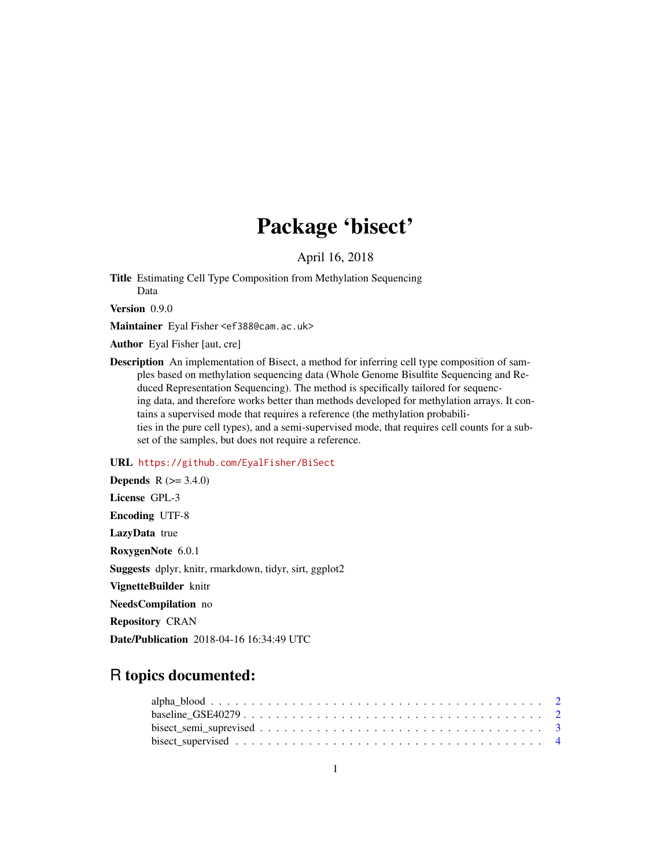# Package 'bisect'

April 16, 2018

Title Estimating Cell Type Composition from Methylation Sequencing Data

Version 0.9.0

Maintainer Eyal Fisher <ef388@cam.ac.uk>

Author Eyal Fisher [aut, cre]

Description An implementation of Bisect, a method for inferring cell type composition of samples based on methylation sequencing data (Whole Genome Bisulfite Sequencing and Reduced Representation Sequencing). The method is specifically tailored for sequencing data, and therefore works better than methods developed for methylation arrays. It contains a supervised mode that requires a reference (the methylation probabilities in the pure cell types), and a semi-supervised mode, that requires cell counts for a subset of the samples, but does not require a reference.

### URL <https://github.com/EyalFisher/BiSect>

**Depends**  $R$  ( $> = 3.4.0$ ) License GPL-3 Encoding UTF-8 LazyData true RoxygenNote 6.0.1 Suggests dplyr, knitr, rmarkdown, tidyr, sirt, ggplot2 VignetteBuilder knitr NeedsCompilation no Repository CRAN Date/Publication 2018-04-16 16:34:49 UTC

## R topics documented: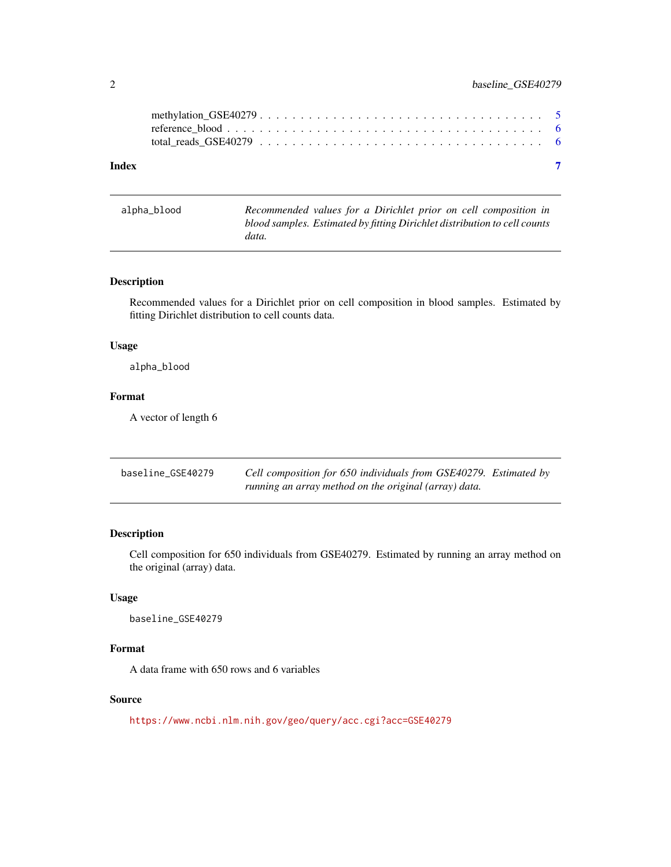<span id="page-1-0"></span>

| Index |  |
|-------|--|
|       |  |
|       |  |

| alpha_blood | Recommended values for a Dirichlet prior on cell composition in           |
|-------------|---------------------------------------------------------------------------|
|             | blood samples. Estimated by fitting Dirichlet distribution to cell counts |
|             | data.                                                                     |

#### Description

Recommended values for a Dirichlet prior on cell composition in blood samples. Estimated by fitting Dirichlet distribution to cell counts data.

#### Usage

alpha\_blood

## Format

A vector of length 6

| baseline_GSE40279 | Cell composition for 650 individuals from GSE40279. Estimated by |  |
|-------------------|------------------------------------------------------------------|--|
|                   | running an array method on the original (array) data.            |  |

### Description

Cell composition for 650 individuals from GSE40279. Estimated by running an array method on the original (array) data.

#### Usage

baseline\_GSE40279

#### Format

A data frame with 650 rows and 6 variables

#### Source

<https://www.ncbi.nlm.nih.gov/geo/query/acc.cgi?acc=GSE40279>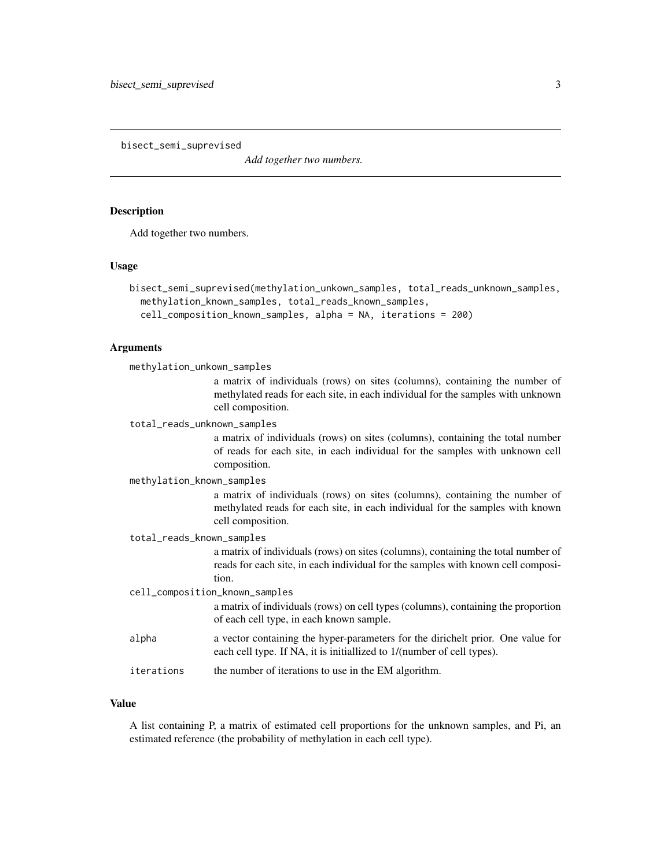<span id="page-2-0"></span>bisect\_semi\_suprevised

*Add together two numbers.*

#### Description

Add together two numbers.

#### Usage

```
bisect_semi_suprevised(methylation_unkown_samples, total_reads_unknown_samples,
 methylation_known_samples, total_reads_known_samples,
 cell_composition_known_samples, alpha = NA, iterations = 200)
```
#### Arguments

methylation\_unkown\_samples

a matrix of individuals (rows) on sites (columns), containing the number of methylated reads for each site, in each individual for the samples with unknown cell composition.

total\_reads\_unknown\_samples

a matrix of individuals (rows) on sites (columns), containing the total number of reads for each site, in each individual for the samples with unknown cell composition.

methylation\_known\_samples

a matrix of individuals (rows) on sites (columns), containing the number of methylated reads for each site, in each individual for the samples with known cell composition.

total\_reads\_known\_samples

a matrix of individuals (rows) on sites (columns), containing the total number of reads for each site, in each individual for the samples with known cell composition.

cell\_composition\_known\_samples

a matrix of individuals (rows) on cell types (columns), containing the proportion of each cell type, in each known sample.

- alpha a vector containing the hyper-parameters for the dirichelt prior. One value for each cell type. If NA, it is initiallized to 1/(number of cell types).
- iterations the number of iterations to use in the EM algorithm.

#### Value

A list containing P, a matrix of estimated cell proportions for the unknown samples, and Pi, an estimated reference (the probability of methylation in each cell type).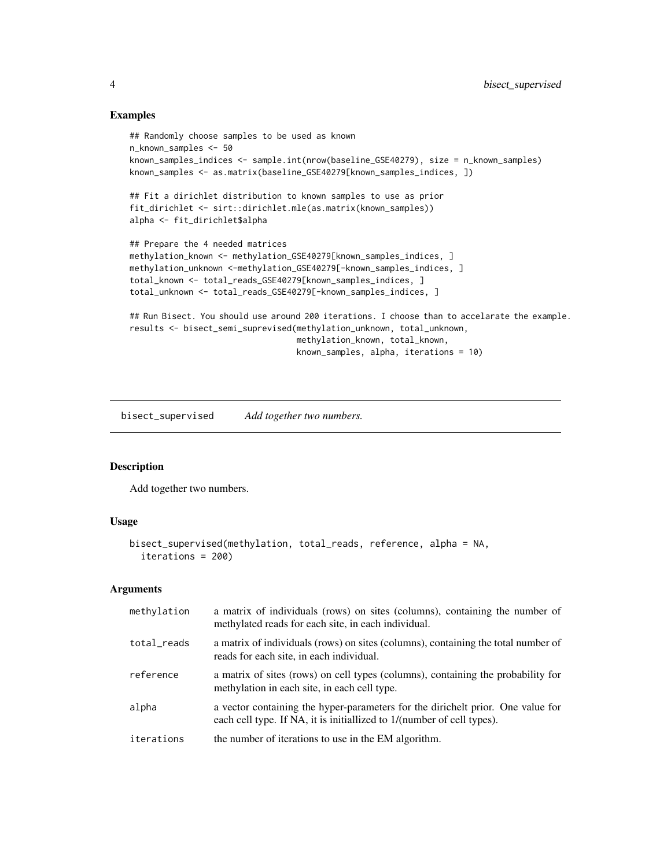#### Examples

```
## Randomly choose samples to be used as known
n_known_samples <- 50
known_samples_indices <- sample.int(nrow(baseline_GSE40279), size = n_known_samples)
known_samples <- as.matrix(baseline_GSE40279[known_samples_indices, ])
## Fit a dirichlet distribution to known samples to use as prior
fit_dirichlet <- sirt::dirichlet.mle(as.matrix(known_samples))
alpha <- fit_dirichlet$alpha
## Prepare the 4 needed matrices
methylation_known <- methylation_GSE40279[known_samples_indices, ]
methylation_unknown <-methylation_GSE40279[-known_samples_indices, ]
total_known <- total_reads_GSE40279[known_samples_indices, ]
total_unknown <- total_reads_GSE40279[-known_samples_indices, ]
## Run Bisect. You should use around 200 iterations. I choose than to accelarate the example.
results <- bisect_semi_suprevised(methylation_unknown, total_unknown,
                                  methylation_known, total_known,
```
known\_samples, alpha, iterations = 10)

bisect\_supervised *Add together two numbers.*

#### Description

Add together two numbers.

#### Usage

```
bisect_supervised(methylation, total_reads, reference, alpha = NA,
  iterations = 200)
```
#### Arguments

| methylation | a matrix of individuals (rows) on sites (columns), containing the number of<br>methylated reads for each site, in each individual.                        |
|-------------|-----------------------------------------------------------------------------------------------------------------------------------------------------------|
| total_reads | a matrix of individuals (rows) on sites (columns), containing the total number of<br>reads for each site, in each individual.                             |
| reference   | a matrix of sites (rows) on cell types (columns), containing the probability for<br>methylation in each site, in each cell type.                          |
| alpha       | a vector containing the hyper-parameters for the dirichelt prior. One value for<br>each cell type. If NA, it is initiallized to 1/(number of cell types). |
| iterations  | the number of iterations to use in the EM algorithm.                                                                                                      |

<span id="page-3-0"></span>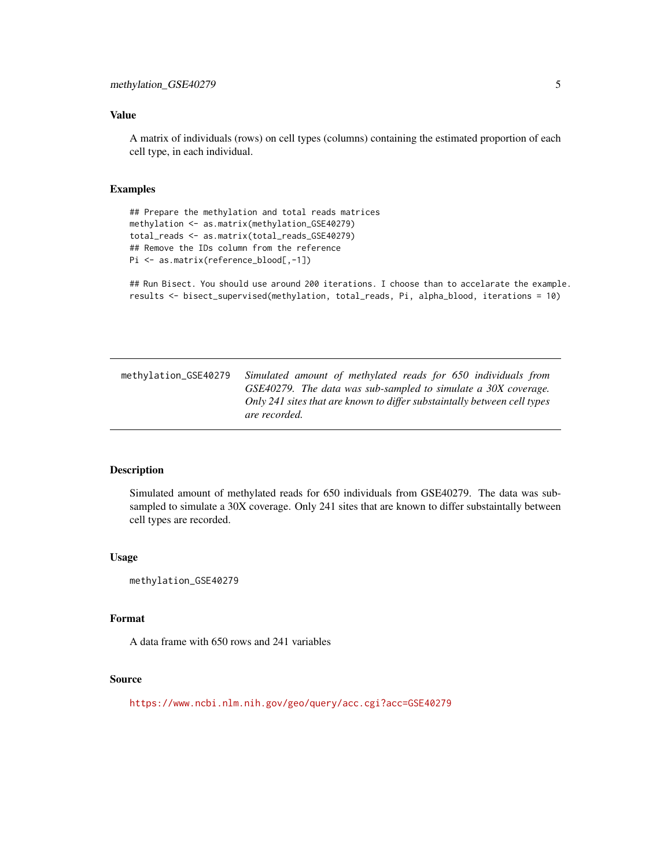#### <span id="page-4-0"></span>Value

A matrix of individuals (rows) on cell types (columns) containing the estimated proportion of each cell type, in each individual.

#### Examples

```
## Prepare the methylation and total reads matrices
methylation <- as.matrix(methylation_GSE40279)
total_reads <- as.matrix(total_reads_GSE40279)
## Remove the IDs column from the reference
Pi <- as.matrix(reference_blood[,-1])
```
## Run Bisect. You should use around 200 iterations. I choose than to accelarate the example. results <- bisect\_supervised(methylation, total\_reads, Pi, alpha\_blood, iterations = 10)

methylation\_GSE40279 *Simulated amount of methylated reads for 650 individuals from GSE40279. The data was sub-sampled to simulate a 30X coverage. Only 241 sites that are known to differ substaintally between cell types are recorded.*

#### Description

Simulated amount of methylated reads for 650 individuals from GSE40279. The data was subsampled to simulate a 30X coverage. Only 241 sites that are known to differ substaintally between cell types are recorded.

#### Usage

methylation\_GSE40279

#### Format

A data frame with 650 rows and 241 variables

#### Source

<https://www.ncbi.nlm.nih.gov/geo/query/acc.cgi?acc=GSE40279>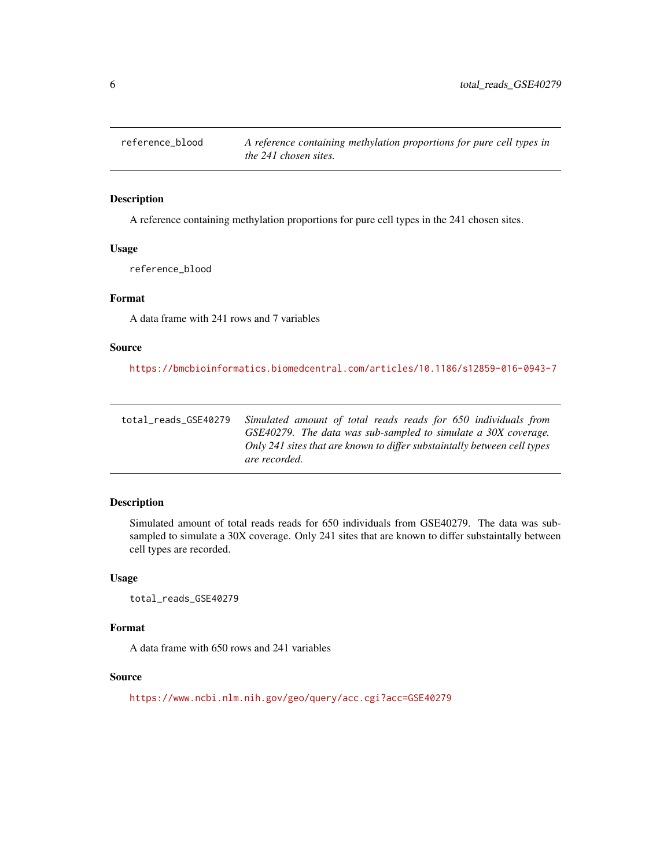<span id="page-5-0"></span>

#### Description

A reference containing methylation proportions for pure cell types in the 241 chosen sites.

#### Usage

reference\_blood

#### Format

A data frame with 241 rows and 7 variables

#### Source

```
https://bmcbioinformatics.biomedcentral.com/articles/10.1186/s12859-016-0943-7
```

| total reads GSE40279 | Simulated amount of total reads reads for 650 individuals from           |
|----------------------|--------------------------------------------------------------------------|
|                      | GSE40279. The data was sub-sampled to simulate a 30X coverage.           |
|                      | Only 241 sites that are known to differ substaintally between cell types |
|                      | are recorded.                                                            |

#### Description

Simulated amount of total reads reads for 650 individuals from GSE40279. The data was subsampled to simulate a 30X coverage. Only 241 sites that are known to differ substaintally between cell types are recorded.

#### Usage

total\_reads\_GSE40279

#### Format

A data frame with 650 rows and 241 variables

#### Source

<https://www.ncbi.nlm.nih.gov/geo/query/acc.cgi?acc=GSE40279>